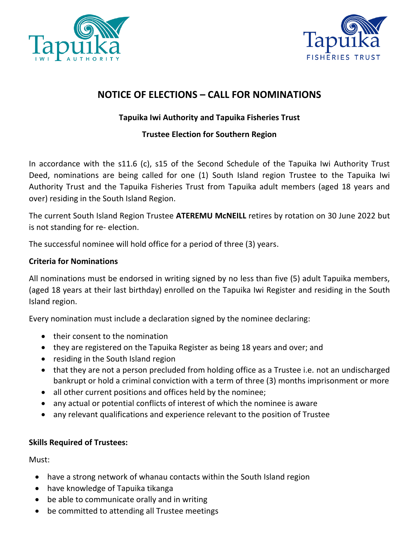



## **NOTICE OF ELECTIONS – CALL FOR NOMINATIONS**

### **Tapuika Iwi Authority and Tapuika Fisheries Trust**

### **Trustee Election for Southern Region**

In accordance with the s11.6 (c), s15 of the Second Schedule of the Tapuika Iwi Authority Trust Deed, nominations are being called for one (1) South Island region Trustee to the Tapuika Iwi Authority Trust and the Tapuika Fisheries Trust from Tapuika adult members (aged 18 years and over) residing in the South Island Region.

The current South Island Region Trustee **ATEREMU McNEILL** retires by rotation on 30 June 2022 but is not standing for re- election.

The successful nominee will hold office for a period of three (3) years.

#### **Criteria for Nominations**

All nominations must be endorsed in writing signed by no less than five (5) adult Tapuika members, (aged 18 years at their last birthday) enrolled on the Tapuika Iwi Register and residing in the South Island region.

Every nomination must include a declaration signed by the nominee declaring:

- their consent to the nomination
- they are registered on the Tapuika Register as being 18 years and over; and
- residing in the South Island region
- that they are not a person precluded from holding office as a Trustee i.e. not an undischarged bankrupt or hold a criminal conviction with a term of three (3) months imprisonment or more
- all other current positions and offices held by the nominee;
- any actual or potential conflicts of interest of which the nominee is aware
- any relevant qualifications and experience relevant to the position of Trustee

#### **Skills Required of Trustees:**

Must:

- have a strong network of whanau contacts within the South Island region
- have knowledge of Tapuika tikanga
- be able to communicate orally and in writing
- be committed to attending all Trustee meetings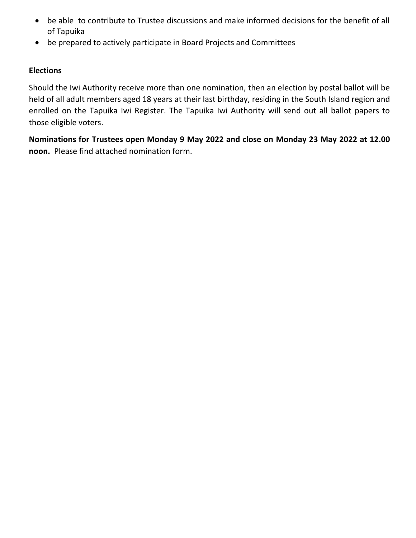- be able to contribute to Trustee discussions and make informed decisions for the benefit of all of Tapuika
- be prepared to actively participate in Board Projects and Committees

#### **Elections**

Should the Iwi Authority receive more than one nomination, then an election by postal ballot will be held of all adult members aged 18 years at their last birthday, residing in the South Island region and enrolled on the Tapuika Iwi Register. The Tapuika Iwi Authority will send out all ballot papers to those eligible voters.

**Nominations for Trustees open Monday 9 May 2022 and close on Monday 23 May 2022 at 12.00 noon.** Please find attached nomination form.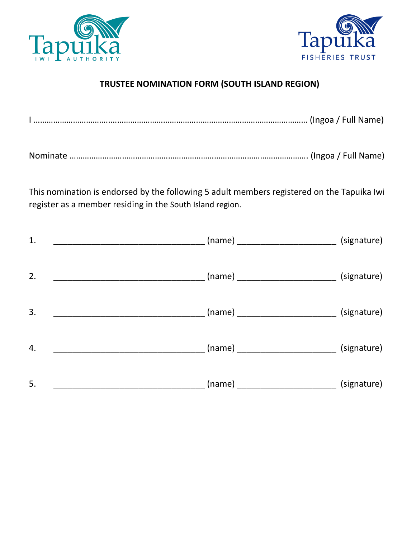



# **TRUSTEE NOMINATION FORM (SOUTH ISLAND REGION)**

|--|

|--|--|--|

This nomination is endorsed by the following 5 adult members registered on the Tapuika Iwi register as a member residing in the South Island region.

| 1.                                                      |                                                   | (signature) |
|---------------------------------------------------------|---------------------------------------------------|-------------|
| 2.<br><u> 1989 - Johann Barbara, martxa alemaniar a</u> |                                                   | (signature) |
| 3.                                                      | ___ (name) __________________________ (signature) |             |
| 4.                                                      |                                                   | (signature) |
| 5.                                                      |                                                   | (signature) |